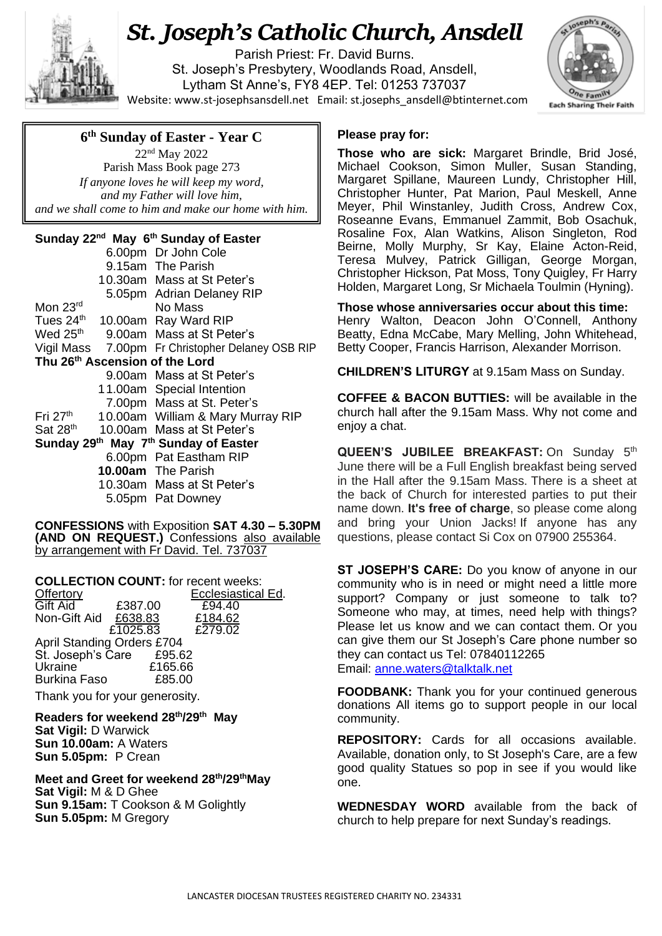

## *St. Joseph's Catholic Church, Ansdell*

Parish Priest: Fr. David Burns. St. Joseph's Presbytery, Woodlands Road, Ansdell, Lytham St Anne's, FY8 4EP. Tel: 01253 737037 Website[: www.st-josephsansdell.net](http://www.st-josephsansdell.net/) Email: [st.josephs\\_ansdell@btinternet.com](mailto:st.josephs_ansdell@btinternet.com)



## **6 th Sunday of Easter - Year C**

 *If anyone loves he will keep my word,* 22nd May 2022 Parish Mass Book page 273 *and my Father will love him, and we shall come to him and make our home with him.*

## **Sunday 22nd May 6 th Sunday of Easter**

|                                      |  | 6.00pm Dr John Cole                              |  |  |
|--------------------------------------|--|--------------------------------------------------|--|--|
|                                      |  | 9.15am The Parish                                |  |  |
|                                      |  | 10.30am Mass at St Peter's                       |  |  |
|                                      |  | 5.05pm Adrian Delaney RIP                        |  |  |
| Mon 23rd                             |  | No Mass                                          |  |  |
| Tues 24th                            |  | 10.00am Ray Ward RIP                             |  |  |
| Wed $25^{\text{th}}$                 |  | 9.00am Mass at St Peter's                        |  |  |
|                                      |  | Vigil Mass 7.00pm Fr Christopher Delaney OSB RIP |  |  |
| Thu 26th Ascension of the Lord       |  |                                                  |  |  |
|                                      |  | 9.00am Mass at St Peter's                        |  |  |
|                                      |  | 11.00am Special Intention                        |  |  |
|                                      |  | 7.00pm Mass at St. Peter's                       |  |  |
| Fri $27th$                           |  | 10.00am William & Mary Murray RIP                |  |  |
| Sat 28 <sup>th</sup>                 |  | 10.00am Mass at St Peter's                       |  |  |
| Sunday 29th May 7th Sunday of Easter |  |                                                  |  |  |
|                                      |  | 6.00pm Pat Eastham RIP                           |  |  |
|                                      |  | <b>10.00am</b> The Parish                        |  |  |
|                                      |  | 10.30am Mass at St Peter's                       |  |  |
|                                      |  | 5.05pm Pat Downey                                |  |  |
|                                      |  |                                                  |  |  |

**CONFESSIONS** with Exposition **SAT 4.30 – 5.30PM (AND ON REQUEST.)** Confessions also available by arrangement with Fr David. Tel. 737037

**COLLECTION COUNT:** for recent weeks:<br>Offertory **Ecclesiastical Ed.** 

| Offertory            |                                   | Ecclesiastical Ed. |  |
|----------------------|-----------------------------------|--------------------|--|
| Gift Aid             | £387.00                           | £94.40             |  |
| Non-Gift Aid £638.83 |                                   | £184.62            |  |
|                      | £1025.83                          | £279.02            |  |
|                      | <b>April Standing Orders £704</b> |                    |  |
| St. Joseph's Care    | £95.62                            |                    |  |
| <b>Ukraine</b>       | £165.66                           |                    |  |
| <b>Burkina Faso</b>  | £85.00                            |                    |  |
|                      |                                   |                    |  |

Thank you for your generosity.

**Readers for weekend 28 th/29th May Sat Vigil:** D Warwick **Sun 10.00am:** A Waters **Sun 5.05pm:** P Crean

**Meet and Greet for weekend 28 th/29thMay Sat Vigil:** M & D Ghee **Sun 9.15am:** T Cookson & M Golightly **Sun 5.05pm:** M Gregory

## **Please pray for:**

**Those who are sick:** Margaret Brindle, Brid José, Michael Cookson, Simon Muller, Susan Standing, Margaret Spillane, Maureen Lundy, Christopher Hill, Christopher Hunter, Pat Marion, Paul Meskell, Anne Meyer, Phil Winstanley, Judith Cross, Andrew Cox, Roseanne Evans, Emmanuel Zammit, Bob Osachuk, Rosaline Fox, Alan Watkins, Alison Singleton, Rod Beirne, Molly Murphy, Sr Kay, Elaine Acton-Reid, Teresa Mulvey, Patrick Gilligan, George Morgan, Christopher Hickson, Pat Moss, Tony Quigley, Fr Harry Holden, Margaret Long, Sr Michaela Toulmin (Hyning).

**Those whose anniversaries occur about this time:** Henry Walton, Deacon John O'Connell, Anthony Beatty, Edna McCabe, Mary Melling, John Whitehead, Betty Cooper, Francis Harrison, Alexander Morrison.

**CHILDREN'S LITURGY** at 9.15am Mass on Sunday.

. **COFFEE & BACON BUTTIES:** will be available in the church hall after the 9.15am Mass. Why not come and enjoy a chat.

**QUEEN'S JUBILEE BREAKFAST:** On Sunday 5th June there will be a Full English breakfast being served in the Hall after the 9.15am Mass. There is a sheet at the back of Church for interested parties to put their name down. **It's free of charge**, so please come along and bring your Union Jacks! If anyone has any questions, please contact Si Cox on 07900 255364.

**ST JOSEPH'S CARE:** Do you know of anyone in our community who is in need or might need a little more support? Company or just someone to talk to? Someone who may, at times, need help with things? Please let us know and we can contact them. Or you can give them our St Joseph's Care phone number so they can contact us Tel: 07840112265 Email: [anne.waters@talktalk.net](mailto:anne.waters@talktalk.net)

**FOODBANK:** Thank you for your continued generous donations All items go to support people in our local community.

**REPOSITORY:** Cards for all occasions available. Available, donation only, to St Joseph's Care, are a few good quality Statues so pop in see if you would like one.

**WEDNESDAY WORD** available from the back of church to help prepare for next Sunday's readings.